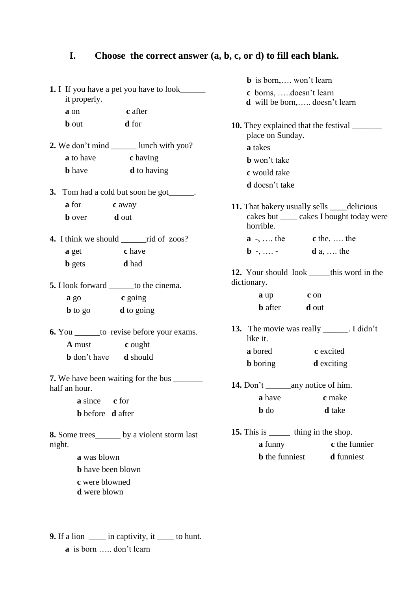## **I. Choose the correct answer (a, b, c, or d) to fill each blank.**

- **1.** I If you have a pet you have to look\_\_\_\_\_\_ it properly. **a** on **c** after
	- **b** out **d** for
- **2.** We don't mind \_\_\_\_\_\_ lunch with you? **a** to have **c** having **b** have **d** to having
- **3.** Tom had a cold but soon he got\_\_\_\_\_\_. **a** for **c** away **b** over **d** out
- **4.** I think we should \_\_\_\_\_\_rid of zoos? **a** get **c** have **b** gets **d** had
- **5.** I look forward \_\_\_\_\_\_to the cinema.  **a** go **c** going **b** to go **d** to going
- **6.** You \_\_\_\_\_\_to revise before your exams.

 **A** must **c** ought  **b** don't have **d** should

**7.** We have been waiting for the bus \_\_\_\_\_\_\_ half an hour.

> **a** since **c** for **b** before **d** after

**8.** Some trees by a violent storm last night.

> **a** was blown **b** have been blown **c** were blowned  **d** were blown

**b** is born,…. won't learn **c** borns, …..doesn't learn  **d** will be born,….. doesn't learn **10.** They explained that the festival place on Sunday. **a** takes **b** won't take **c** would take **d** doesn't take 11. That bakery usually sells \_\_\_\_delicious cakes but \_\_\_\_ cakes I bought today were horrible. **a** -, …. the **c** the, …. the **b** -, …. - **d** a, …. the **12.** Your should look this word in the dictionary. **a** up **c** on **b** after **d** out **13.** The movie was really . I didn't like it. **a** bored **c** excited **b** boring **d** exciting **14.** Don't any notice of him. **a** have **c** make **b** do **d** take

**15.** This is \_\_\_\_\_\_ thing in the shop. **a** funny **c** the funnier **b** the funniest **d** funniest

**9.** If a lion <u>\_\_\_\_</u> in captivity, it \_\_\_\_\_ to hunt. **a** is born ….. don't learn